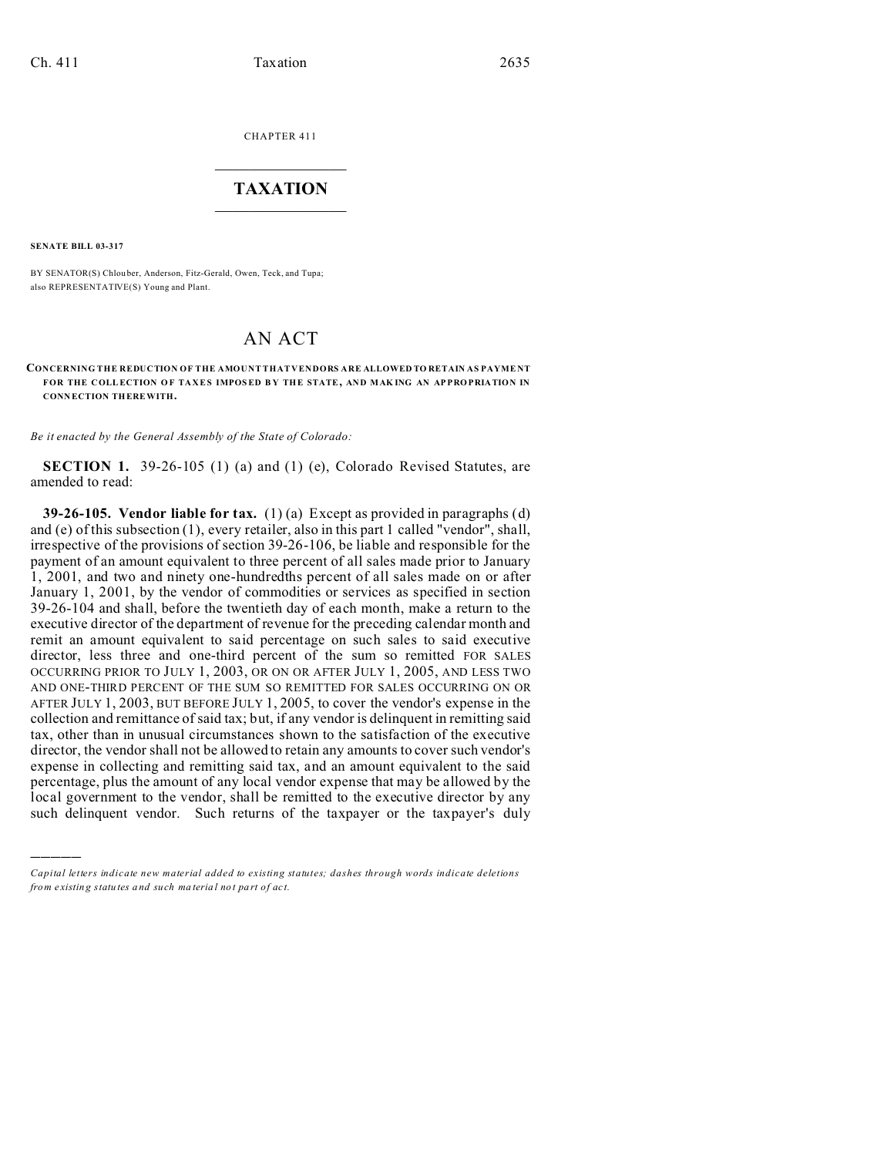CHAPTER 411  $\overline{\phantom{a}}$  , where  $\overline{\phantom{a}}$ 

## **TAXATION**  $\_$

**SENATE BILL 03-317**

)))))

BY SENATOR(S) Chlou ber, Anderson, Fitz-Gerald, Owen, Teck, and Tupa; also REPRESENTATIVE(S) Young and Plant.

## AN ACT

**CONCERNING THE REDUCTION OF THE AMOUNT THAT VENDORS ARE ALLOWED TO RETAIN AS PAYME NT FOR THE COLL ECTION O F TAXES IMPOSED B Y THE STATE, AND MAK ING AN AP PRO PRIATION IN CONN ECTION THEREWITH.**

*Be it enacted by the General Assembly of the State of Colorado:*

**SECTION 1.** 39-26-105 (1) (a) and (1) (e), Colorado Revised Statutes, are amended to read:

**39-26-105. Vendor liable for tax.** (1) (a) Except as provided in paragraphs (d) and (e) of this subsection (1), every retailer, also in this part 1 called "vendor", shall, irrespective of the provisions of section 39-26-106, be liable and responsible for the payment of an amount equivalent to three percent of all sales made prior to January 1, 2001, and two and ninety one-hundredths percent of all sales made on or after January 1, 2001, by the vendor of commodities or services as specified in section 39-26-104 and shall, before the twentieth day of each month, make a return to the executive director of the department of revenue for the preceding calendar month and remit an amount equivalent to said percentage on such sales to said executive director, less three and one-third percent of the sum so remitted FOR SALES OCCURRING PRIOR TO JULY 1, 2003, OR ON OR AFTER JULY 1, 2005, AND LESS TWO AND ONE-THIRD PERCENT OF THE SUM SO REMITTED FOR SALES OCCURRING ON OR AFTER JULY 1, 2003, BUT BEFORE JULY 1, 2005, to cover the vendor's expense in the collection and remittance of said tax; but, if any vendor is delinquent in remitting said tax, other than in unusual circumstances shown to the satisfaction of the executive director, the vendor shall not be allowed to retain any amounts to cover such vendor's expense in collecting and remitting said tax, and an amount equivalent to the said percentage, plus the amount of any local vendor expense that may be allowed by the local government to the vendor, shall be remitted to the executive director by any such delinquent vendor. Such returns of the taxpayer or the taxpayer's duly

*Capital letters indicate new material added to existing statutes; dashes through words indicate deletions from e xistin g statu tes a nd such ma teria l no t pa rt of ac t.*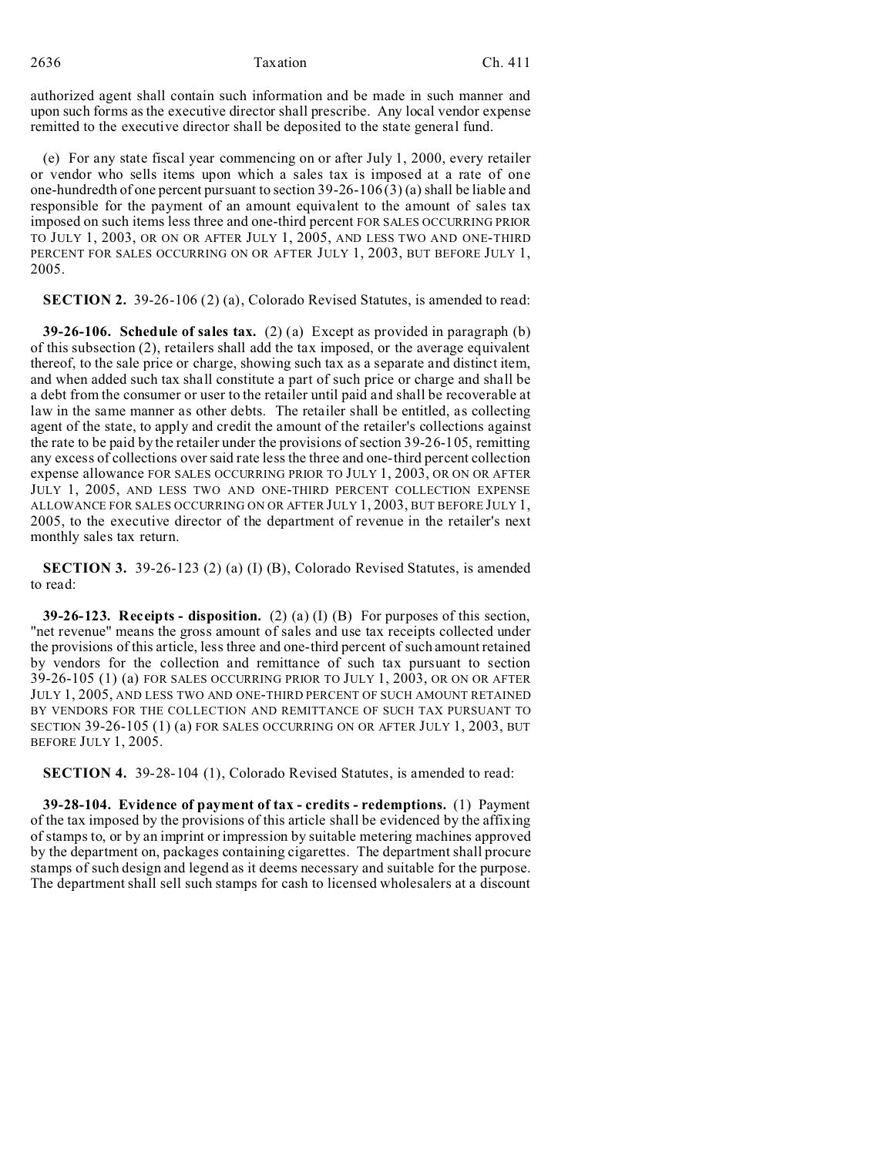2636 Taxation Ch. 411

authorized agent shall contain such information and be made in such manner and upon such forms as the executive director shall prescribe. Any local vendor expense remitted to the executive director shall be deposited to the state general fund.

(e) For any state fiscal year commencing on or after July 1, 2000, every retailer or vendor who sells items upon which a sales tax is imposed at a rate of one one-hundredth of one percent pursuant to section 39-26-106 (3) (a) shall be liable and responsible for the payment of an amount equivalent to the amount of sales tax imposed on such items less three and one-third percent FOR SALES OCCURRING PRIOR TO JULY 1, 2003, OR ON OR AFTER JULY 1, 2005, AND LESS TWO AND ONE-THIRD PERCENT FOR SALES OCCURRING ON OR AFTER JULY 1, 2003, BUT BEFORE JULY 1, 2005.

**SECTION 2.** 39-26-106 (2) (a), Colorado Revised Statutes, is amended to read:

**39-26-106. Schedule of sales tax.** (2) (a) Except as provided in paragraph (b) of this subsection (2), retailers shall add the tax imposed, or the average equivalent thereof, to the sale price or charge, showing such tax as a separate and distinct item, and when added such tax shall constitute a part of such price or charge and shall be a debt from the consumer or user to the retailer until paid and shall be recoverable at law in the same manner as other debts. The retailer shall be entitled, as collecting agent of the state, to apply and credit the amount of the retailer's collections against the rate to be paid by the retailer under the provisions of section 39-26-105, remitting any excess of collections over said rate less the three and one-third percent collection expense allowance FOR SALES OCCURRING PRIOR TO JULY 1, 2003, OR ON OR AFTER JULY 1, 2005, AND LESS TWO AND ONE-THIRD PERCENT COLLECTION EXPENSE ALLOWANCE FOR SALES OCCURRING ON OR AFTER JULY 1, 2003, BUT BEFORE JULY 1, 2005, to the executive director of the department of revenue in the retailer's next monthly sales tax return.

**SECTION 3.** 39-26-123 (2) (a) (I) (B), Colorado Revised Statutes, is amended to read:

**39-26-123. Receipts - disposition.** (2) (a) (I) (B) For purposes of this section, "net revenue" means the gross amount of sales and use tax receipts collected under the provisions of this article, less three and one-third percent of such amount retained by vendors for the collection and remittance of such tax pursuant to section 39-26-105 (1) (a) FOR SALES OCCURRING PRIOR TO JULY 1, 2003, OR ON OR AFTER JULY 1, 2005, AND LESS TWO AND ONE-THIRD PERCENT OF SUCH AMOUNT RETAINED BY VENDORS FOR THE COLLECTION AND REMITTANCE OF SUCH TAX PURSUANT TO SECTION 39-26-105 (1) (a) FOR SALES OCCURRING ON OR AFTER JULY 1, 2003, BUT BEFORE JULY 1, 2005.

**SECTION 4.** 39-28-104 (1), Colorado Revised Statutes, is amended to read:

**39-28-104. Evidence of payment of tax - credits - redemptions.** (1) Payment of the tax imposed by the provisions of this article shall be evidenced by the affixing of stamps to, or by an imprint or impression by suitable metering machines approved by the department on, packages containing cigarettes. The department shall procure stamps of such design and legend as it deems necessary and suitable for the purpose. The department shall sell such stamps for cash to licensed wholesalers at a discount